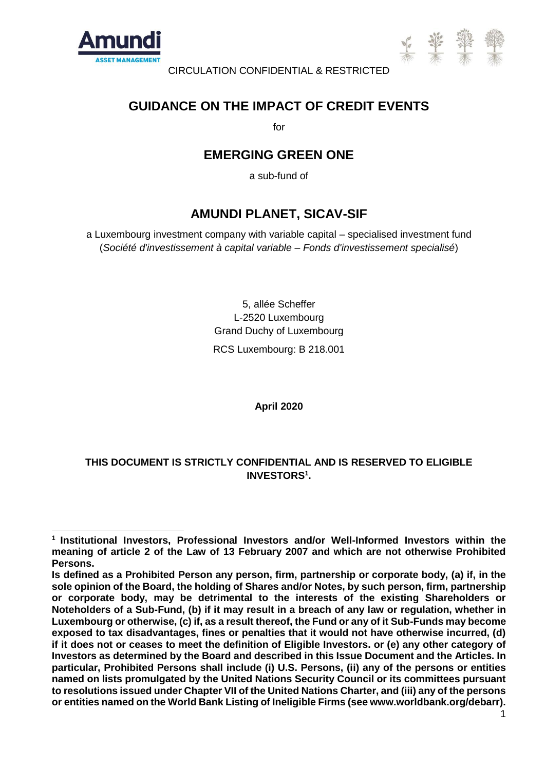

-



CIRCULATION CONFIDENTIAL & RESTRICTED

## **GUIDANCE ON THE IMPACT OF CREDIT EVENTS**

for

# **EMERGING GREEN ONE**

a sub-fund of

## **AMUNDI PLANET, SICAV-SIF**

a Luxembourg investment company with variable capital – specialised investment fund (*Société d'investissement à capital variable – Fonds d'investissement specialisé*)

> 5, allée Scheffer L-2520 Luxembourg Grand Duchy of Luxembourg RCS Luxembourg: B 218.001

> > **April 2020**

## **THIS DOCUMENT IS STRICTLY CONFIDENTIAL AND IS RESERVED TO ELIGIBLE INVESTORS<sup>1</sup> .**

**<sup>1</sup> Institutional Investors, Professional Investors and/or Well-Informed Investors within the meaning of article 2 of the Law of 13 February 2007 and which are not otherwise Prohibited Persons.** 

**Is defined as a Prohibited Person any person, firm, partnership or corporate body, (a) if, in the sole opinion of the Board, the holding of Shares and/or Notes, by such person, firm, partnership or corporate body, may be detrimental to the interests of the existing Shareholders or Noteholders of a Sub-Fund, (b) if it may result in a breach of any law or regulation, whether in Luxembourg or otherwise, (c) if, as a result thereof, the Fund or any of it Sub-Funds may become exposed to tax disadvantages, fines or penalties that it would not have otherwise incurred, (d) if it does not or ceases to meet the definition of Eligible Investors. or (e) any other category of Investors as determined by the Board and described in this Issue Document and the Articles. In particular, Prohibited Persons shall include (i) U.S. Persons, (ii) any of the persons or entities named on lists promulgated by the United Nations Security Council or its committees pursuant to resolutions issued under Chapter VII of the United Nations Charter, and (iii) any of the persons or entities named on the World Bank Listing of Ineligible Firms (see www.worldbank.org/debarr).**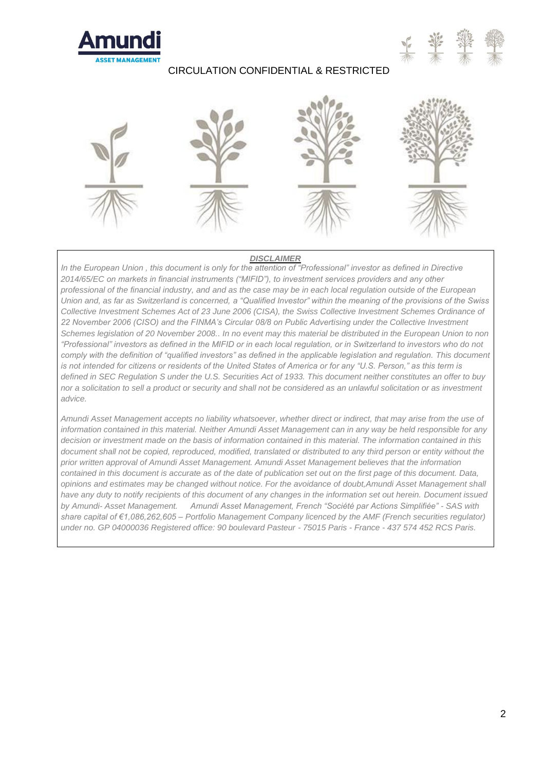





#### *DISCLAIMER*

In the European Union, this document is only for the attention of "Professional" investor as defined in Directive *2014/65/EC on markets in financial instruments ("MIFID"), to investment services providers and any other professional of the financial industry, and and as the case may be in each local regulation outside of the European Union and, as far as Switzerland is concerned, a "Qualified Investor" within the meaning of the provisions of the Swiss Collective Investment Schemes Act of 23 June 2006 (CISA), the Swiss Collective Investment Schemes Ordinance of 22 November 2006 (CISO) and the FINMA's Circular 08/8 on Public Advertising under the Collective Investment Schemes legislation of 20 November 2008.. In no event may this material be distributed in the European Union to non "Professional" investors as defined in the MIFID or in each local regulation, or in Switzerland to investors who do not comply with the definition of "qualified investors" as defined in the applicable legislation and regulation. This document is not intended for citizens or residents of the United States of America or for any "U.S. Person," as this term is defined in SEC Regulation S under the U.S. Securities Act of 1933. This document neither constitutes an offer to buy nor a solicitation to sell a product or security and shall not be considered as an unlawful solicitation or as investment advice.*

*Amundi Asset Management accepts no liability whatsoever, whether direct or indirect, that may arise from the use of information contained in this material. Neither Amundi Asset Management can in any way be held responsible for any decision or investment made on the basis of information contained in this material. The information contained in this document shall not be copied, reproduced, modified, translated or distributed to any third person or entity without the prior written approval of Amundi Asset Management. Amundi Asset Management believes that the information contained in this document is accurate as of the date of publication set out on the first page of this document. Data, opinions and estimates may be changed without notice. For the avoidance of doubt,Amundi Asset Management shall have any duty to notify recipients of this document of any changes in the information set out herein. Document issued by Amundi- Asset Management. Amundi Asset Management, French "Société par Actions Simplifiée" - SAS with share capital of €1,086,262,605 – Portfolio Management Company licenced by the AMF (French securities regulator) under no. GP 04000036 Registered office: 90 boulevard Pasteur - 75015 Paris - France - 437 574 452 RCS Paris.*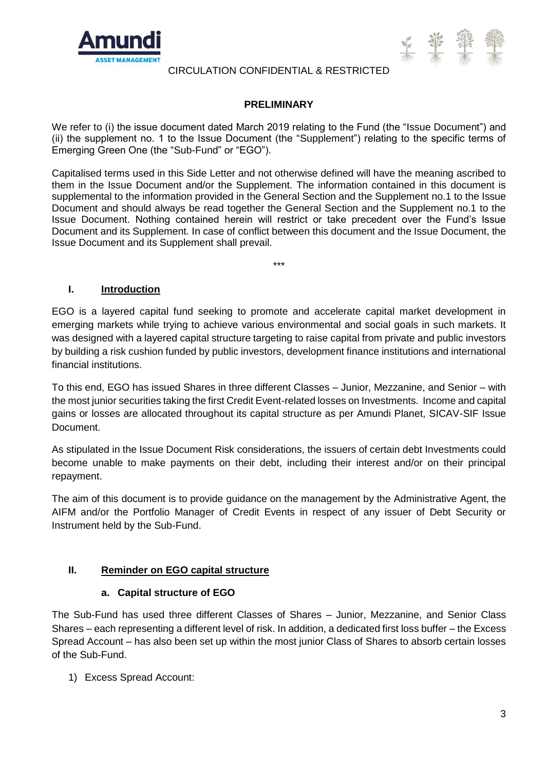



### **PRELIMINARY**

We refer to (i) the issue document dated March 2019 relating to the Fund (the "Issue Document") and (ii) the supplement no. 1 to the Issue Document (the "Supplement") relating to the specific terms of Emerging Green One (the "Sub-Fund" or "EGO").

Capitalised terms used in this Side Letter and not otherwise defined will have the meaning ascribed to them in the Issue Document and/or the Supplement. The information contained in this document is supplemental to the information provided in the General Section and the Supplement no.1 to the Issue Document and should always be read together the General Section and the Supplement no.1 to the Issue Document. Nothing contained herein will restrict or take precedent over the Fund's Issue Document and its Supplement. In case of conflict between this document and the Issue Document, the Issue Document and its Supplement shall prevail.

\*\*\*

**I. Introduction**

EGO is a layered capital fund seeking to promote and accelerate capital market development in emerging markets while trying to achieve various environmental and social goals in such markets. It was designed with a layered capital structure targeting to raise capital from private and public investors by building a risk cushion funded by public investors, development finance institutions and international financial institutions.

To this end, EGO has issued Shares in three different Classes – Junior, Mezzanine, and Senior – with the most junior securities taking the first Credit Event-related losses on Investments. Income and capital gains or losses are allocated throughout its capital structure as per Amundi Planet, SICAV-SIF Issue Document.

As stipulated in the Issue Document Risk considerations, the issuers of certain debt Investments could become unable to make payments on their debt, including their interest and/or on their principal repayment.

The aim of this document is to provide guidance on the management by the Administrative Agent, the AIFM and/or the Portfolio Manager of Credit Events in respect of any issuer of Debt Security or Instrument held by the Sub-Fund.

## **II. Reminder on EGO capital structure**

#### **a. Capital structure of EGO**

The Sub-Fund has used three different Classes of Shares – Junior, Mezzanine, and Senior Class Shares – each representing a different level of risk. In addition, a dedicated first loss buffer – the Excess Spread Account – has also been set up within the most junior Class of Shares to absorb certain losses of the Sub-Fund.

1) Excess Spread Account: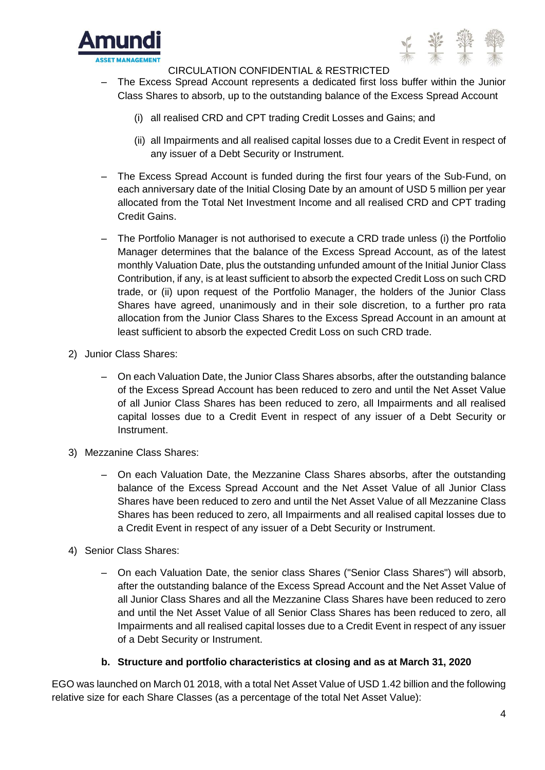



- ‒ The Excess Spread Account represents a dedicated first loss buffer within the Junior Class Shares to absorb, up to the outstanding balance of the Excess Spread Account
	- (i) all realised CRD and CPT trading Credit Losses and Gains; and
	- (ii) all Impairments and all realised capital losses due to a Credit Event in respect of any issuer of a Debt Security or Instrument.
- The Excess Spread Account is funded during the first four years of the Sub-Fund, on each anniversary date of the Initial Closing Date by an amount of USD 5 million per year allocated from the Total Net Investment Income and all realised CRD and CPT trading Credit Gains.
- ‒ The Portfolio Manager is not authorised to execute a CRD trade unless (i) the Portfolio Manager determines that the balance of the Excess Spread Account, as of the latest monthly Valuation Date, plus the outstanding unfunded amount of the Initial Junior Class Contribution, if any, is at least sufficient to absorb the expected Credit Loss on such CRD trade, or (ii) upon request of the Portfolio Manager, the holders of the Junior Class Shares have agreed, unanimously and in their sole discretion, to a further pro rata allocation from the Junior Class Shares to the Excess Spread Account in an amount at least sufficient to absorb the expected Credit Loss on such CRD trade.
- 2) Junior Class Shares:
	- ‒ On each Valuation Date, the Junior Class Shares absorbs, after the outstanding balance of the Excess Spread Account has been reduced to zero and until the Net Asset Value of all Junior Class Shares has been reduced to zero, all Impairments and all realised capital losses due to a Credit Event in respect of any issuer of a Debt Security or Instrument.
- 3) Mezzanine Class Shares:
	- ‒ On each Valuation Date, the Mezzanine Class Shares absorbs, after the outstanding balance of the Excess Spread Account and the Net Asset Value of all Junior Class Shares have been reduced to zero and until the Net Asset Value of all Mezzanine Class Shares has been reduced to zero, all Impairments and all realised capital losses due to a Credit Event in respect of any issuer of a Debt Security or Instrument.
- 4) Senior Class Shares:
	- ‒ On each Valuation Date, the senior class Shares ("Senior Class Shares") will absorb, after the outstanding balance of the Excess Spread Account and the Net Asset Value of all Junior Class Shares and all the Mezzanine Class Shares have been reduced to zero and until the Net Asset Value of all Senior Class Shares has been reduced to zero, all Impairments and all realised capital losses due to a Credit Event in respect of any issuer of a Debt Security or Instrument.

#### **b. Structure and portfolio characteristics at closing and as at March 31, 2020**

EGO was launched on March 01 2018, with a total Net Asset Value of USD 1.42 billion and the following relative size for each Share Classes (as a percentage of the total Net Asset Value):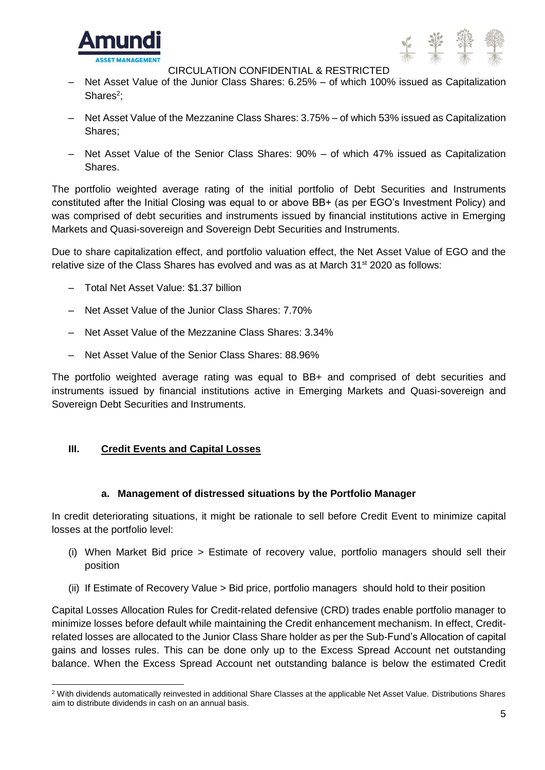



- Net Asset Value of the Junior Class Shares: 6.25% of which 100% issued as Capitalization Shares<sup>2</sup>;
- ‒ Net Asset Value of the Mezzanine Class Shares: 3.75% of which 53% issued as Capitalization Shares;
- ‒ Net Asset Value of the Senior Class Shares: 90% of which 47% issued as Capitalization Shares.

The portfolio weighted average rating of the initial portfolio of Debt Securities and Instruments constituted after the Initial Closing was equal to or above BB+ (as per EGO's Investment Policy) and was comprised of debt securities and instruments issued by financial institutions active in Emerging Markets and Quasi-sovereign and Sovereign Debt Securities and Instruments.

Due to share capitalization effect, and portfolio valuation effect, the Net Asset Value of EGO and the relative size of the Class Shares has evolved and was as at March  $31<sup>st</sup> 2020$  as follows:

- ‒ Total Net Asset Value: \$1.37 billion
- ‒ Net Asset Value of the Junior Class Shares: 7.70%
- ‒ Net Asset Value of the Mezzanine Class Shares: 3.34%
- ‒ Net Asset Value of the Senior Class Shares: 88.96%

The portfolio weighted average rating was equal to BB+ and comprised of debt securities and instruments issued by financial institutions active in Emerging Markets and Quasi-sovereign and Sovereign Debt Securities and Instruments.

#### **III. Credit Events and Capital Losses**

#### **a. Management of distressed situations by the Portfolio Manager**

In credit deteriorating situations, it might be rationale to sell before Credit Event to minimize capital losses at the portfolio level:

- (i) When Market Bid price > Estimate of recovery value, portfolio managers should sell their position
- (ii) If Estimate of Recovery Value > Bid price, portfolio managers should hold to their position

Capital Losses Allocation Rules for Credit-related defensive (CRD) trades enable portfolio manager to minimize losses before default while maintaining the Credit enhancement mechanism. In effect, Creditrelated losses are allocated to the Junior Class Share holder as per the Sub-Fund's Allocation of capital gains and losses rules. This can be done only up to the Excess Spread Account net outstanding balance. When the Excess Spread Account net outstanding balance is below the estimated Credit

<sup>-</sup><sup>2</sup> With dividends automatically reinvested in additional Share Classes at the applicable Net Asset Value. Distributions Shares aim to distribute dividends in cash on an annual basis.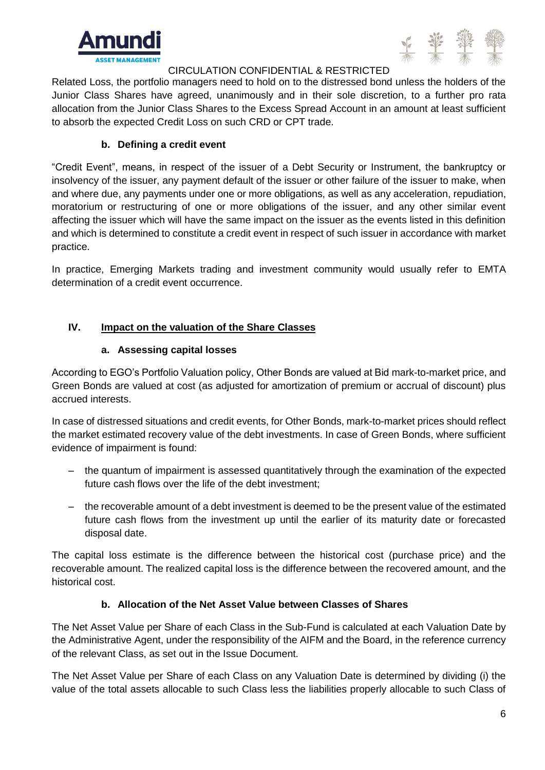



Related Loss, the portfolio managers need to hold on to the distressed bond unless the holders of the Junior Class Shares have agreed, unanimously and in their sole discretion, to a further pro rata allocation from the Junior Class Shares to the Excess Spread Account in an amount at least sufficient to absorb the expected Credit Loss on such CRD or CPT trade.

## **b. Defining a credit event**

"Credit Event", means, in respect of the issuer of a Debt Security or Instrument, the bankruptcy or insolvency of the issuer, any payment default of the issuer or other failure of the issuer to make, when and where due, any payments under one or more obligations, as well as any acceleration, repudiation, moratorium or restructuring of one or more obligations of the issuer, and any other similar event affecting the issuer which will have the same impact on the issuer as the events listed in this definition and which is determined to constitute a credit event in respect of such issuer in accordance with market practice.

In practice, Emerging Markets trading and investment community would usually refer to EMTA determination of a credit event occurrence.

## **IV. Impact on the valuation of the Share Classes**

## **a. Assessing capital losses**

According to EGO's Portfolio Valuation policy, Other Bonds are valued at Bid mark-to-market price, and Green Bonds are valued at cost (as adjusted for amortization of premium or accrual of discount) plus accrued interests.

In case of distressed situations and credit events, for Other Bonds, mark-to-market prices should reflect the market estimated recovery value of the debt investments. In case of Green Bonds, where sufficient evidence of impairment is found:

- ‒ the quantum of impairment is assessed quantitatively through the examination of the expected future cash flows over the life of the debt investment;
- ‒ the recoverable amount of a debt investment is deemed to be the present value of the estimated future cash flows from the investment up until the earlier of its maturity date or forecasted disposal date.

The capital loss estimate is the difference between the historical cost (purchase price) and the recoverable amount. The realized capital loss is the difference between the recovered amount, and the historical cost.

## **b. Allocation of the Net Asset Value between Classes of Shares**

The Net Asset Value per Share of each Class in the Sub-Fund is calculated at each Valuation Date by the Administrative Agent, under the responsibility of the AIFM and the Board, in the reference currency of the relevant Class, as set out in the Issue Document.

The Net Asset Value per Share of each Class on any Valuation Date is determined by dividing (i) the value of the total assets allocable to such Class less the liabilities properly allocable to such Class of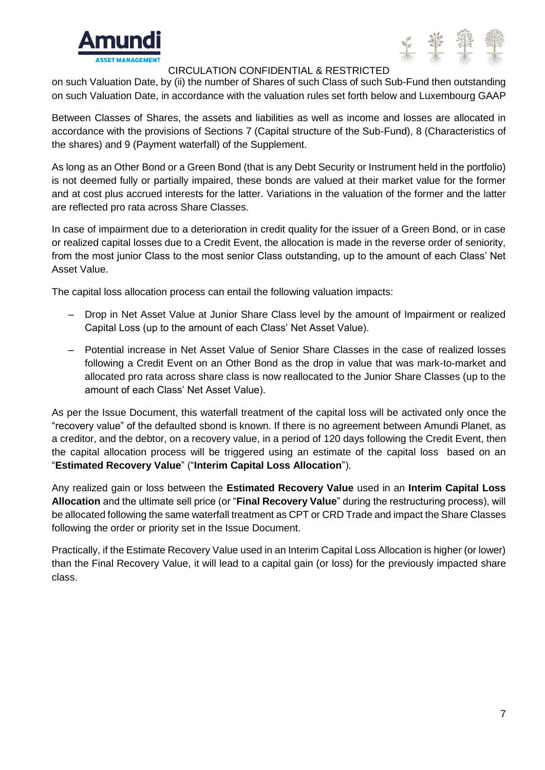



on such Valuation Date, by (ii) the number of Shares of such Class of such Sub-Fund then outstanding on such Valuation Date, in accordance with the valuation rules set forth below and Luxembourg GAAP

Between Classes of Shares, the assets and liabilities as well as income and losses are allocated in accordance with the provisions of Sections 7 (Capital structure of the Sub-Fund), 8 (Characteristics of the shares) and 9 (Payment waterfall) of the Supplement.

As long as an Other Bond or a Green Bond (that is any Debt Security or Instrument held in the portfolio) is not deemed fully or partially impaired, these bonds are valued at their market value for the former and at cost plus accrued interests for the latter. Variations in the valuation of the former and the latter are reflected pro rata across Share Classes.

In case of impairment due to a deterioration in credit quality for the issuer of a Green Bond, or in case or realized capital losses due to a Credit Event, the allocation is made in the reverse order of seniority, from the most junior Class to the most senior Class outstanding, up to the amount of each Class' Net Asset Value.

The capital loss allocation process can entail the following valuation impacts:

- Drop in Net Asset Value at Junior Share Class level by the amount of Impairment or realized Capital Loss (up to the amount of each Class' Net Asset Value).
- ‒ Potential increase in Net Asset Value of Senior Share Classes in the case of realized losses following a Credit Event on an Other Bond as the drop in value that was mark-to-market and allocated pro rata across share class is now reallocated to the Junior Share Classes (up to the amount of each Class' Net Asset Value).

As per the Issue Document, this waterfall treatment of the capital loss will be activated only once the "recovery value" of the defaulted sbond is known. If there is no agreement between Amundi Planet, as a creditor, and the debtor, on a recovery value, in a period of 120 days following the Credit Event, then the capital allocation process will be triggered using an estimate of the capital loss based on an "**Estimated Recovery Value**" ("**Interim Capital Loss Allocation**").

Any realized gain or loss between the **Estimated Recovery Value** used in an **Interim Capital Loss Allocation** and the ultimate sell price (or "**Final Recovery Value**" during the restructuring process), will be allocated following the same waterfall treatment as CPT or CRD Trade and impact the Share Classes following the order or priority set in the Issue Document.

Practically, if the Estimate Recovery Value used in an Interim Capital Loss Allocation is higher (or lower) than the Final Recovery Value, it will lead to a capital gain (or loss) for the previously impacted share class.